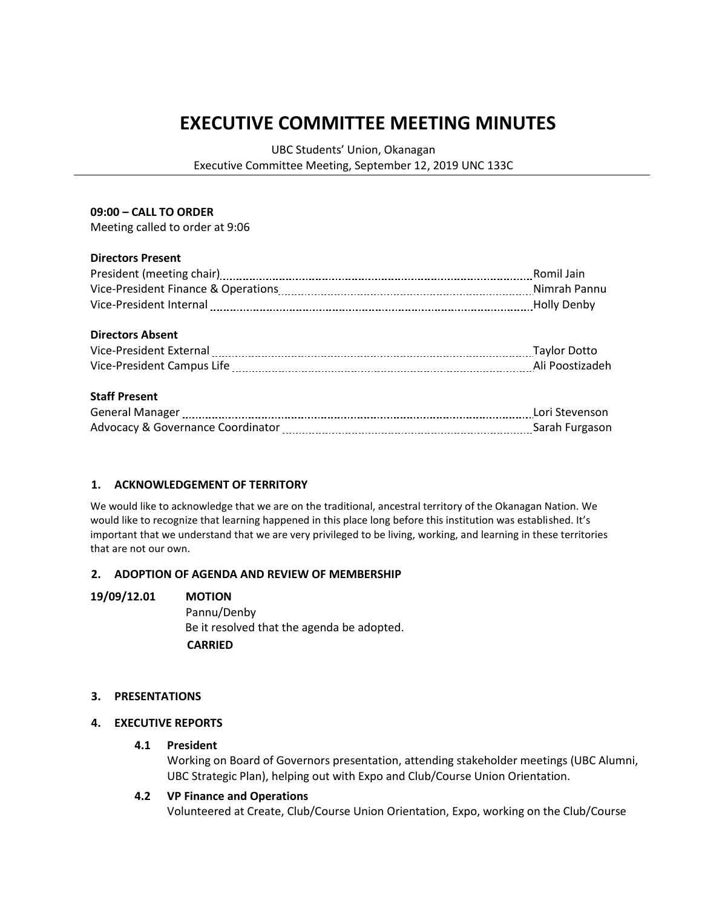# **EXECUTIVE COMMITTEE MEETING MINUTES**

UBC Students' Union, Okanagan Executive Committee Meeting, September 12, 2019 UNC 133C

#### **09:00 – CALL TO ORDER**

Meeting called to order at 9:06

# **Directors Present**

|                                                                                                                 | Romil Jain   |
|-----------------------------------------------------------------------------------------------------------------|--------------|
|                                                                                                                 |              |
| Vice-President Internal [111] No. 2010 Marshall McC-President Internal [11] Marshall McC-President Internal [11 |              |
|                                                                                                                 |              |
| <b>Directors Absent</b>                                                                                         |              |
| Vice-President External [1111] [121] Marcon Contract President External [111] Marcon Marcon Contract President  | Taylor Dotto |
|                                                                                                                 |              |
|                                                                                                                 |              |
| <b>Staff Present</b>                                                                                            |              |
| General Manager [11, 2010] Contact Manager [11, 2010] Manager [11, 2010] Manager [11, 2010] Manager [11, 2010   |              |
|                                                                                                                 |              |

# **1. ACKNOWLEDGEMENT OF TERRITORY**

We would like to acknowledge that we are on the traditional, ancestral territory of the Okanagan Nation. We would like to recognize that learning happened in this place long before this institution was established. It's important that we understand that we are very privileged to be living, working, and learning in these territories that are not our own.

# **2. ADOPTION OF AGENDA AND REVIEW OF MEMBERSHIP**

# **19/09/12.01 MOTION**

Pannu/Denby Be it resolved that the agenda be adopted.  **CARRIED**

# **3. PRESENTATIONS**

# **4. EXECUTIVE REPORTS**

#### **4.1 President**

Working on Board of Governors presentation, attending stakeholder meetings (UBC Alumni, UBC Strategic Plan), helping out with Expo and Club/Course Union Orientation.

# **4.2 VP Finance and Operations**

Volunteered at Create, Club/Course Union Orientation, Expo, working on the Club/Course